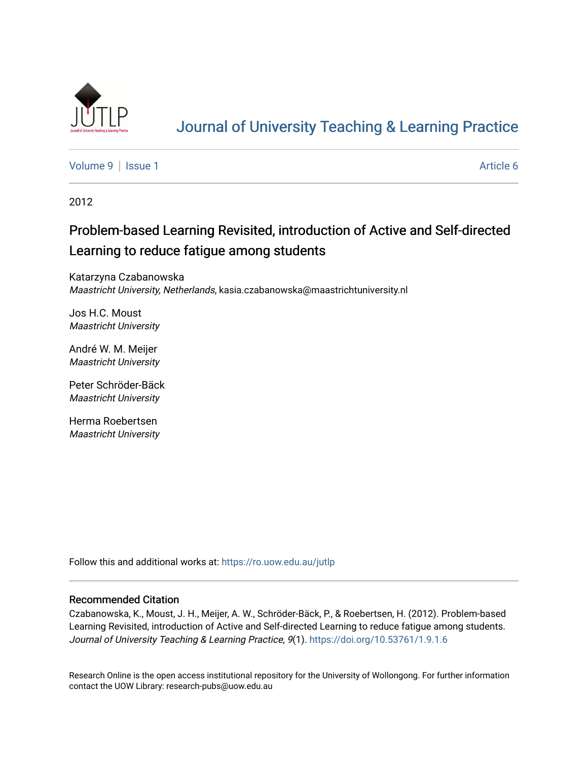

# [Journal of University Teaching & Learning Practice](https://ro.uow.edu.au/jutlp)

[Volume 9](https://ro.uow.edu.au/jutlp/vol9) | [Issue 1](https://ro.uow.edu.au/jutlp/vol9/iss1) Article 6

2012

# Problem-based Learning Revisited, introduction of Active and Self-directed Learning to reduce fatigue among students

Katarzyna Czabanowska Maastricht University, Netherlands, kasia.czabanowska@maastrichtuniversity.nl

Jos H.C. Moust Maastricht University

André W. M. Meijer Maastricht University

Peter Schröder-Bäck Maastricht University

Herma Roebertsen Maastricht University

Follow this and additional works at: [https://ro.uow.edu.au/jutlp](https://ro.uow.edu.au/jutlp?utm_source=ro.uow.edu.au%2Fjutlp%2Fvol9%2Fiss1%2F6&utm_medium=PDF&utm_campaign=PDFCoverPages) 

#### Recommended Citation

Czabanowska, K., Moust, J. H., Meijer, A. W., Schröder-Bäck, P., & Roebertsen, H. (2012). Problem-based Learning Revisited, introduction of Active and Self-directed Learning to reduce fatigue among students. Journal of University Teaching & Learning Practice, 9(1).<https://doi.org/10.53761/1.9.1.6>

Research Online is the open access institutional repository for the University of Wollongong. For further information contact the UOW Library: research-pubs@uow.edu.au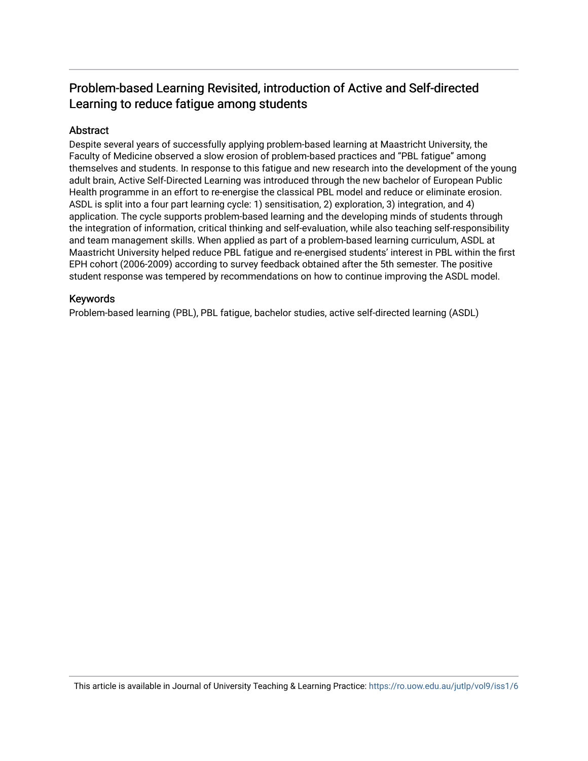## Problem-based Learning Revisited, introduction of Active and Self-directed Learning to reduce fatigue among students

### Abstract

Despite several years of successfully applying problem-based learning at Maastricht University, the Faculty of Medicine observed a slow erosion of problem-based practices and "PBL fatigue" among themselves and students. In response to this fatigue and new research into the development of the young adult brain, Active Self-Directed Learning was introduced through the new bachelor of European Public Health programme in an effort to re-energise the classical PBL model and reduce or eliminate erosion. ASDL is split into a four part learning cycle: 1) sensitisation, 2) exploration, 3) integration, and 4) application. The cycle supports problem-based learning and the developing minds of students through the integration of information, critical thinking and self-evaluation, while also teaching self-responsibility and team management skills. When applied as part of a problem-based learning curriculum, ASDL at Maastricht University helped reduce PBL fatigue and re-energised students' interest in PBL within the first EPH cohort (2006-2009) according to survey feedback obtained after the 5th semester. The positive student response was tempered by recommendations on how to continue improving the ASDL model.

### Keywords

Problem-based learning (PBL), PBL fatigue, bachelor studies, active self-directed learning (ASDL)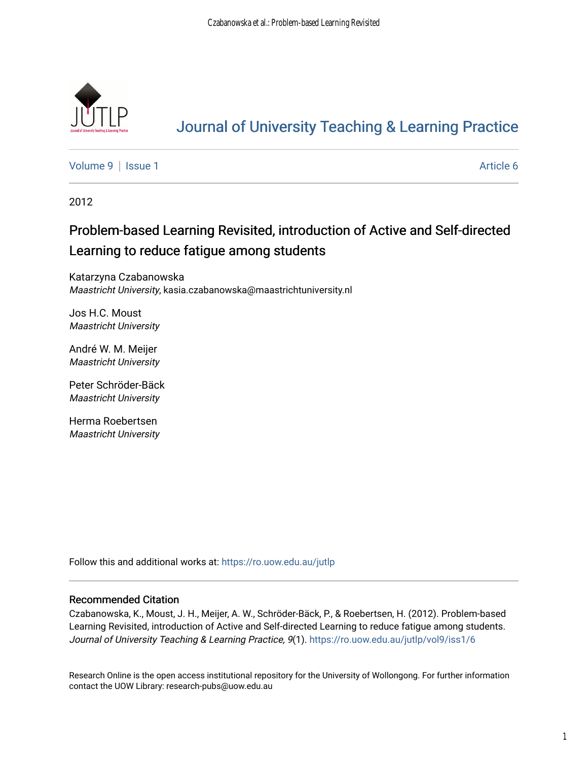

# [Journal of University Teaching & Learning Practice](https://ro.uow.edu.au/jutlp)

[Volume 9](https://ro.uow.edu.au/jutlp/vol9) | [Issue 1](https://ro.uow.edu.au/jutlp/vol9/iss1) Article 6

2012

# Problem-based Learning Revisited, introduction of Active and Self-directed Learning to reduce fatigue among students

Katarzyna Czabanowska Maastricht University, kasia.czabanowska@maastrichtuniversity.nl

Jos H.C. Moust Maastricht University

André W. M. Meijer Maastricht University

Peter Schröder-Bäck Maastricht University

Herma Roebertsen Maastricht University

Follow this and additional works at: [https://ro.uow.edu.au/jutlp](https://ro.uow.edu.au/jutlp?utm_source=ro.uow.edu.au%2Fjutlp%2Fvol9%2Fiss1%2F6&utm_medium=PDF&utm_campaign=PDFCoverPages) 

#### Recommended Citation

Czabanowska, K., Moust, J. H., Meijer, A. W., Schröder-Bäck, P., & Roebertsen, H. (2012). Problem-based Learning Revisited, introduction of Active and Self-directed Learning to reduce fatigue among students. Journal of University Teaching & Learning Practice, 9(1). [https://ro.uow.edu.au/jutlp/vol9/iss1/6](https://ro.uow.edu.au/jutlp/vol9/iss1/6?utm_source=ro.uow.edu.au%2Fjutlp%2Fvol9%2Fiss1%2F6&utm_medium=PDF&utm_campaign=PDFCoverPages)

Research Online is the open access institutional repository for the University of Wollongong. For further information contact the UOW Library: research-pubs@uow.edu.au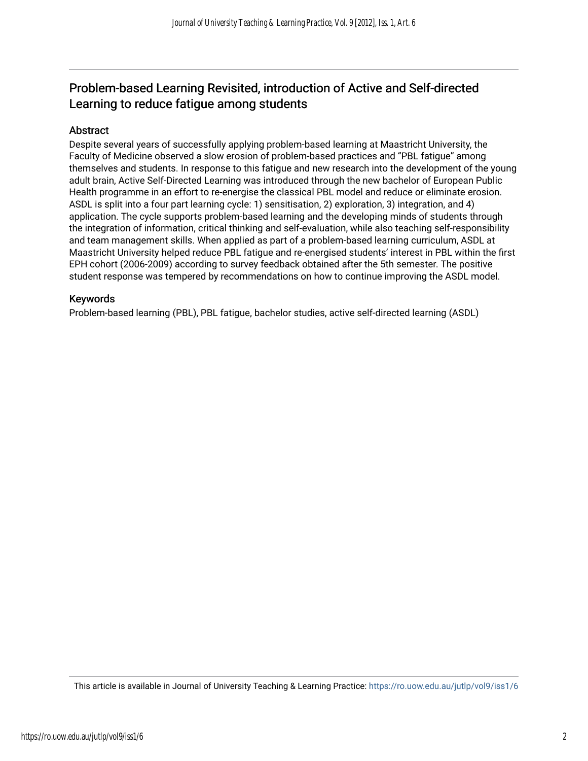## Problem-based Learning Revisited, introduction of Active and Self-directed Learning to reduce fatigue among students

#### Abstract

Despite several years of successfully applying problem-based learning at Maastricht University, the Faculty of Medicine observed a slow erosion of problem-based practices and "PBL fatigue" among themselves and students. In response to this fatigue and new research into the development of the young adult brain, Active Self-Directed Learning was introduced through the new bachelor of European Public Health programme in an effort to re-energise the classical PBL model and reduce or eliminate erosion. ASDL is split into a four part learning cycle: 1) sensitisation, 2) exploration, 3) integration, and 4) application. The cycle supports problem-based learning and the developing minds of students through the integration of information, critical thinking and self-evaluation, while also teaching self-responsibility and team management skills. When applied as part of a problem-based learning curriculum, ASDL at Maastricht University helped reduce PBL fatigue and re-energised students' interest in PBL within the first EPH cohort (2006-2009) according to survey feedback obtained after the 5th semester. The positive student response was tempered by recommendations on how to continue improving the ASDL model.

#### Keywords

Problem-based learning (PBL), PBL fatigue, bachelor studies, active self-directed learning (ASDL)

This article is available in Journal of University Teaching & Learning Practice:<https://ro.uow.edu.au/jutlp/vol9/iss1/6>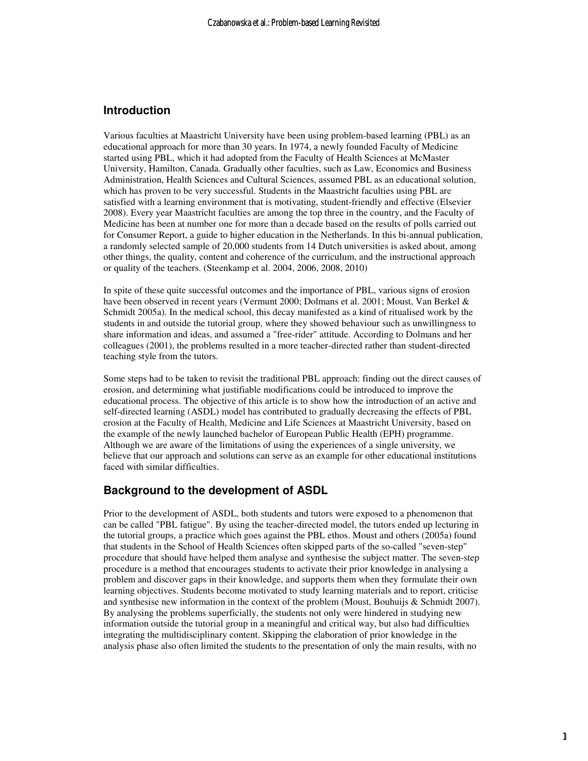#### **Introduction**

Various faculties at Maastricht University have been using problem-based learning (PBL) as an educational approach for more than 30 years. In 1974, a newly founded Faculty of Medicine started using PBL, which it had adopted from the Faculty of Health Sciences at McMaster University, Hamilton, Canada. Gradually other faculties, such as Law, Economics and Business Administration, Health Sciences and Cultural Sciences, assumed PBL as an educational solution, which has proven to be very successful. Students in the Maastricht faculties using PBL are satisfied with a learning environment that is motivating, student-friendly and effective (Elsevier 2008). Every year Maastricht faculties are among the top three in the country, and the Faculty of Medicine has been at number one for more than a decade based on the results of polls carried out for Consumer Report, a guide to higher education in the Netherlands. In this bi-annual publication, a randomly selected sample of 20,000 students from 14 Dutch universities is asked about, among other things, the quality, content and coherence of the curriculum, and the instructional approach or quality of the teachers. (Steenkamp et al. 2004, 2006, 2008, 2010)

In spite of these quite successful outcomes and the importance of PBL, various signs of erosion have been observed in recent years (Vermunt 2000; Dolmans et al. 2001; Moust, Van Berkel & Schmidt 2005a). In the medical school, this decay manifested as a kind of ritualised work by the students in and outside the tutorial group, where they showed behaviour such as unwillingness to share information and ideas, and assumed a "free-rider" attitude. According to Dolmans and her colleagues (2001), the problems resulted in a more teacher-directed rather than student-directed teaching style from the tutors.

Some steps had to be taken to revisit the traditional PBL approach: finding out the direct causes of erosion, and determining what justifiable modifications could be introduced to improve the educational process. The objective of this article is to show how the introduction of an active and self-directed learning (ASDL) model has contributed to gradually decreasing the effects of PBL erosion at the Faculty of Health, Medicine and Life Sciences at Maastricht University, based on the example of the newly launched bachelor of European Public Health (EPH) programme. Although we are aware of the limitations of using the experiences of a single university, we believe that our approach and solutions can serve as an example for other educational institutions faced with similar difficulties.

#### **Background to the development of ASDL**

Prior to the development of ASDL, both students and tutors were exposed to a phenomenon that can be called "PBL fatigue". By using the teacher-directed model, the tutors ended up lecturing in the tutorial groups, a practice which goes against the PBL ethos. Moust and others (2005a) found that students in the School of Health Sciences often skipped parts of the so-called "seven-step" procedure that should have helped them analyse and synthesise the subject matter. The seven-step procedure is a method that encourages students to activate their prior knowledge in analysing a problem and discover gaps in their knowledge, and supports them when they formulate their own learning objectives. Students become motivated to study learning materials and to report, criticise and synthesise new information in the context of the problem (Moust, Bouhuijs & Schmidt 2007). By analysing the problems superficially, the students not only were hindered in studying new information outside the tutorial group in a meaningful and critical way, but also had difficulties integrating the multidisciplinary content. Skipping the elaboration of prior knowledge in the analysis phase also often limited the students to the presentation of only the main results, with no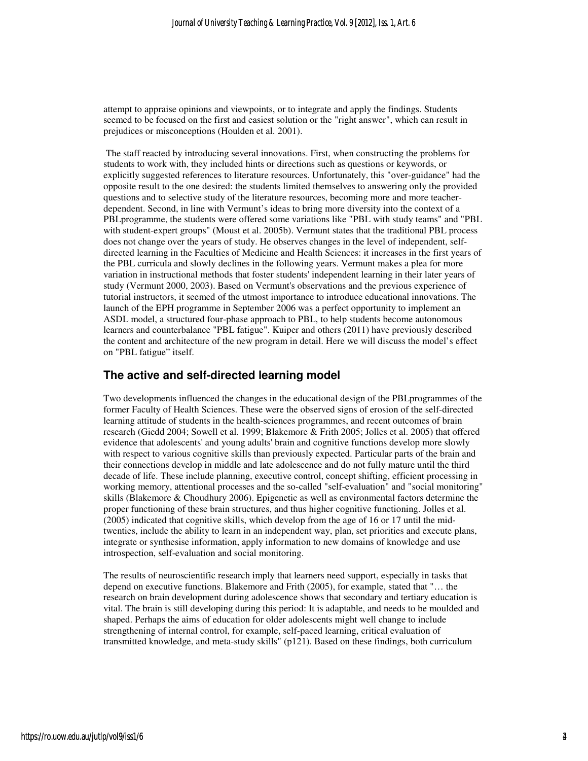attempt to appraise opinions and viewpoints, or to integrate and apply the findings. Students seemed to be focused on the first and easiest solution or the "right answer", which can result in prejudices or misconceptions (Houlden et al. 2001).

 The staff reacted by introducing several innovations. First, when constructing the problems for students to work with, they included hints or directions such as questions or keywords, or explicitly suggested references to literature resources. Unfortunately, this "over-guidance" had the opposite result to the one desired: the students limited themselves to answering only the provided questions and to selective study of the literature resources, becoming more and more teacherdependent. Second, in line with Vermunt's ideas to bring more diversity into the context of a PBLprogramme, the students were offered some variations like "PBL with study teams" and "PBL with student-expert groups" (Moust et al. 2005b). Vermunt states that the traditional PBL process does not change over the years of study. He observes changes in the level of independent, selfdirected learning in the Faculties of Medicine and Health Sciences: it increases in the first years of the PBL curricula and slowly declines in the following years. Vermunt makes a plea for more variation in instructional methods that foster students' independent learning in their later years of study (Vermunt 2000, 2003). Based on Vermunt's observations and the previous experience of tutorial instructors, it seemed of the utmost importance to introduce educational innovations. The launch of the EPH programme in September 2006 was a perfect opportunity to implement an ASDL model, a structured four-phase approach to PBL, to help students become autonomous learners and counterbalance "PBL fatigue". Kuiper and others (2011) have previously described the content and architecture of the new program in detail. Here we will discuss the model's effect on "PBL fatigue" itself.

#### **The active and self-directed learning model**

Two developments influenced the changes in the educational design of the PBLprogrammes of the former Faculty of Health Sciences. These were the observed signs of erosion of the self-directed learning attitude of students in the health-sciences programmes, and recent outcomes of brain research (Giedd 2004; Sowell et al. 1999; Blakemore & Frith 2005; Jolles et al. 2005) that offered evidence that adolescents' and young adults' brain and cognitive functions develop more slowly with respect to various cognitive skills than previously expected. Particular parts of the brain and their connections develop in middle and late adolescence and do not fully mature until the third decade of life. These include planning, executive control, concept shifting, efficient processing in working memory, attentional processes and the so-called "self-evaluation" and "social monitoring" skills (Blakemore & Choudhury 2006). Epigenetic as well as environmental factors determine the proper functioning of these brain structures, and thus higher cognitive functioning. Jolles et al. (2005) indicated that cognitive skills, which develop from the age of 16 or 17 until the midtwenties, include the ability to learn in an independent way, plan, set priorities and execute plans, integrate or synthesise information, apply information to new domains of knowledge and use introspection, self-evaluation and social monitoring.

The results of neuroscientific research imply that learners need support, especially in tasks that depend on executive functions. Blakemore and Frith (2005), for example, stated that "… the research on brain development during adolescence shows that secondary and tertiary education is vital. The brain is still developing during this period: It is adaptable, and needs to be moulded and shaped. Perhaps the aims of education for older adolescents might well change to include strengthening of internal control, for example, self-paced learning, critical evaluation of transmitted knowledge, and meta-study skills" (p121). Based on these findings, both curriculum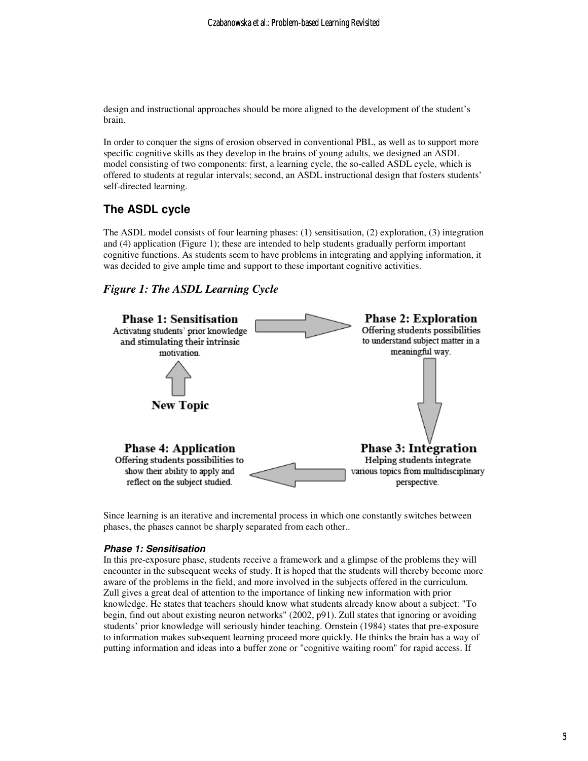design and instructional approaches should be more aligned to the development of the student's brain.

In order to conquer the signs of erosion observed in conventional PBL, as well as to support more specific cognitive skills as they develop in the brains of young adults, we designed an ASDL model consisting of two components: first, a learning cycle, the so-called ASDL cycle, which is offered to students at regular intervals; second, an ASDL instructional design that fosters students' self-directed learning.

### **The ASDL cycle**

The ASDL model consists of four learning phases: (1) sensitisation, (2) exploration, (3) integration and (4) application (Figure 1); these are intended to help students gradually perform important cognitive functions. As students seem to have problems in integrating and applying information, it was decided to give ample time and support to these important cognitive activities.

#### *Figure 1: The ASDL Learning Cycle*



Since learning is an iterative and incremental process in which one constantly switches between phases, the phases cannot be sharply separated from each other..

#### **Phase 1: Sensitisation**

In this pre-exposure phase, students receive a framework and a glimpse of the problems they will encounter in the subsequent weeks of study. It is hoped that the students will thereby become more aware of the problems in the field, and more involved in the subjects offered in the curriculum. Zull gives a great deal of attention to the importance of linking new information with prior knowledge. He states that teachers should know what students already know about a subject: "To begin, find out about existing neuron networks" (2002, p91). Zull states that ignoring or avoiding students' prior knowledge will seriously hinder teaching. Ornstein (1984) states that pre-exposure to information makes subsequent learning proceed more quickly. He thinks the brain has a way of putting information and ideas into a buffer zone or "cognitive waiting room" for rapid access. If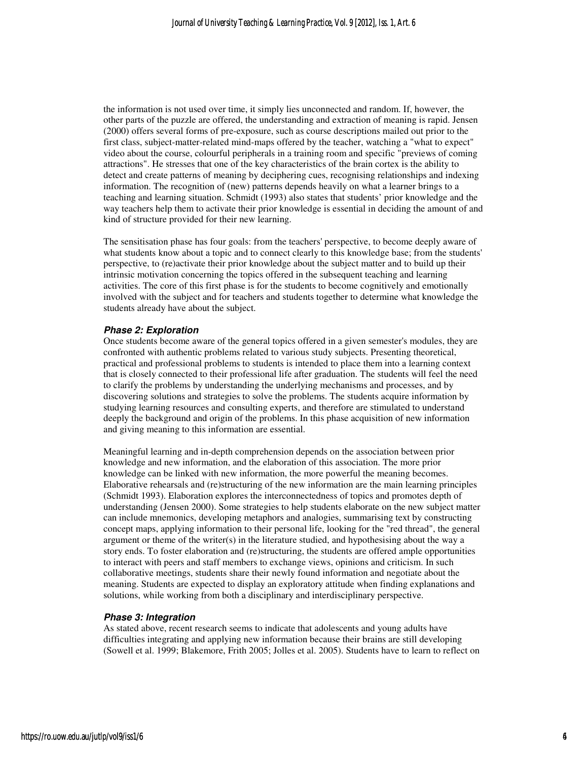the information is not used over time, it simply lies unconnected and random. If, however, the other parts of the puzzle are offered, the understanding and extraction of meaning is rapid. Jensen (2000) offers several forms of pre-exposure, such as course descriptions mailed out prior to the first class, subject-matter-related mind-maps offered by the teacher, watching a "what to expect" video about the course, colourful peripherals in a training room and specific "previews of coming attractions". He stresses that one of the key characteristics of the brain cortex is the ability to detect and create patterns of meaning by deciphering cues, recognising relationships and indexing information. The recognition of (new) patterns depends heavily on what a learner brings to a teaching and learning situation. Schmidt (1993) also states that students' prior knowledge and the way teachers help them to activate their prior knowledge is essential in deciding the amount of and kind of structure provided for their new learning.

The sensitisation phase has four goals: from the teachers' perspective, to become deeply aware of what students know about a topic and to connect clearly to this knowledge base; from the students' perspective, to (re)activate their prior knowledge about the subject matter and to build up their intrinsic motivation concerning the topics offered in the subsequent teaching and learning activities. The core of this first phase is for the students to become cognitively and emotionally involved with the subject and for teachers and students together to determine what knowledge the students already have about the subject.

#### **Phase 2: Exploration**

Once students become aware of the general topics offered in a given semester's modules, they are confronted with authentic problems related to various study subjects. Presenting theoretical, practical and professional problems to students is intended to place them into a learning context that is closely connected to their professional life after graduation. The students will feel the need to clarify the problems by understanding the underlying mechanisms and processes, and by discovering solutions and strategies to solve the problems. The students acquire information by studying learning resources and consulting experts, and therefore are stimulated to understand deeply the background and origin of the problems. In this phase acquisition of new information and giving meaning to this information are essential.

Meaningful learning and in-depth comprehension depends on the association between prior knowledge and new information, and the elaboration of this association. The more prior knowledge can be linked with new information, the more powerful the meaning becomes. Elaborative rehearsals and (re)structuring of the new information are the main learning principles (Schmidt 1993). Elaboration explores the interconnectedness of topics and promotes depth of understanding (Jensen 2000). Some strategies to help students elaborate on the new subject matter can include mnemonics, developing metaphors and analogies, summarising text by constructing concept maps, applying information to their personal life, looking for the "red thread", the general argument or theme of the writer $(s)$  in the literature studied, and hypothesising about the way a story ends. To foster elaboration and (re)structuring, the students are offered ample opportunities to interact with peers and staff members to exchange views, opinions and criticism. In such collaborative meetings, students share their newly found information and negotiate about the meaning. Students are expected to display an exploratory attitude when finding explanations and solutions, while working from both a disciplinary and interdisciplinary perspective.

#### **Phase 3: Integration**

As stated above, recent research seems to indicate that adolescents and young adults have difficulties integrating and applying new information because their brains are still developing (Sowell et al. 1999; Blakemore, Frith 2005; Jolles et al. 2005). Students have to learn to reflect on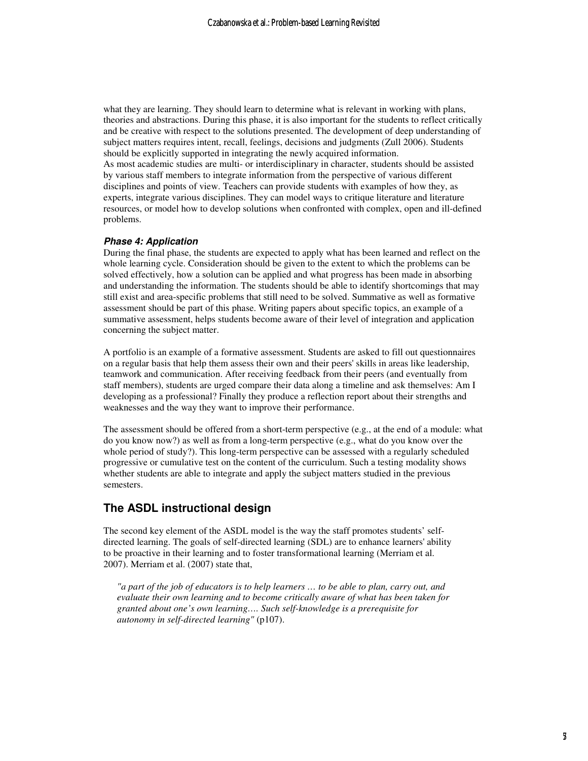what they are learning. They should learn to determine what is relevant in working with plans, theories and abstractions. During this phase, it is also important for the students to reflect critically and be creative with respect to the solutions presented. The development of deep understanding of subject matters requires intent, recall, feelings, decisions and judgments (Zull 2006). Students should be explicitly supported in integrating the newly acquired information. As most academic studies are multi- or interdisciplinary in character, students should be assisted by various staff members to integrate information from the perspective of various different disciplines and points of view. Teachers can provide students with examples of how they, as experts, integrate various disciplines. They can model ways to critique literature and literature resources, or model how to develop solutions when confronted with complex, open and ill-defined problems.

#### **Phase 4: Application**

During the final phase, the students are expected to apply what has been learned and reflect on the whole learning cycle. Consideration should be given to the extent to which the problems can be solved effectively, how a solution can be applied and what progress has been made in absorbing and understanding the information. The students should be able to identify shortcomings that may still exist and area-specific problems that still need to be solved. Summative as well as formative assessment should be part of this phase. Writing papers about specific topics, an example of a summative assessment, helps students become aware of their level of integration and application concerning the subject matter.

A portfolio is an example of a formative assessment. Students are asked to fill out questionnaires on a regular basis that help them assess their own and their peers' skills in areas like leadership, teamwork and communication. After receiving feedback from their peers (and eventually from staff members), students are urged compare their data along a timeline and ask themselves: Am I developing as a professional? Finally they produce a reflection report about their strengths and weaknesses and the way they want to improve their performance.

The assessment should be offered from a short-term perspective (e.g., at the end of a module: what do you know now?) as well as from a long-term perspective (e.g., what do you know over the whole period of study?). This long-term perspective can be assessed with a regularly scheduled progressive or cumulative test on the content of the curriculum. Such a testing modality shows whether students are able to integrate and apply the subject matters studied in the previous semesters.

#### **The ASDL instructional design**

The second key element of the ASDL model is the way the staff promotes students' selfdirected learning. The goals of self-directed learning (SDL) are to enhance learners' ability to be proactive in their learning and to foster transformational learning (Merriam et al. 2007). Merriam et al. (2007) state that,

*"a part of the job of educators is to help learners … to be able to plan, carry out, and evaluate their own learning and to become critically aware of what has been taken for granted about one's own learning…. Such self-knowledge is a prerequisite for autonomy in self-directed learning"* (p107).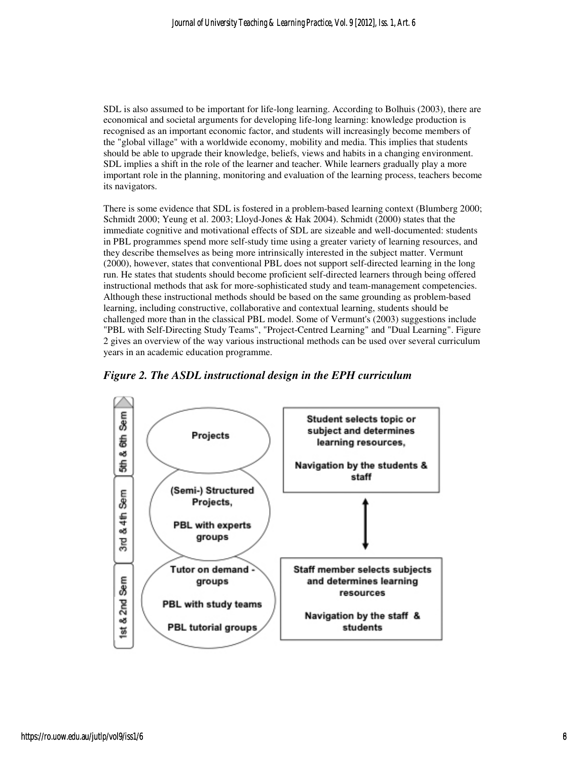SDL is also assumed to be important for life-long learning. According to Bolhuis (2003), there are economical and societal arguments for developing life-long learning: knowledge production is recognised as an important economic factor, and students will increasingly become members of the "global village" with a worldwide economy, mobility and media. This implies that students should be able to upgrade their knowledge, beliefs, views and habits in a changing environment. SDL implies a shift in the role of the learner and teacher. While learners gradually play a more important role in the planning, monitoring and evaluation of the learning process, teachers become its navigators.

There is some evidence that SDL is fostered in a problem-based learning context (Blumberg 2000; Schmidt 2000; Yeung et al. 2003; Lloyd-Jones & Hak 2004). Schmidt (2000) states that the immediate cognitive and motivational effects of SDL are sizeable and well-documented: students in PBL programmes spend more self-study time using a greater variety of learning resources, and they describe themselves as being more intrinsically interested in the subject matter. Vermunt (2000), however, states that conventional PBL does not support self-directed learning in the long run. He states that students should become proficient self-directed learners through being offered instructional methods that ask for more-sophisticated study and team-management competencies. Although these instructional methods should be based on the same grounding as problem-based learning, including constructive, collaborative and contextual learning, students should be challenged more than in the classical PBL model. Some of Vermunt's (2003) suggestions include "PBL with Self-Directing Study Teams", "Project-Centred Learning" and "Dual Learning". Figure 2 gives an overview of the way various instructional methods can be used over several curriculum years in an academic education programme.



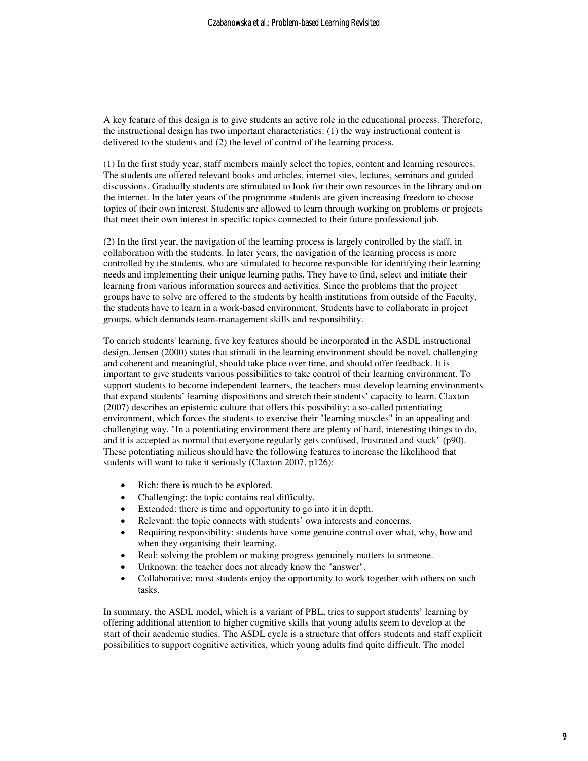A key feature of this design is to give students an active role in the educational process. Therefore, the instructional design has two important characteristics: (1) the way instructional content is delivered to the students and (2) the level of control of the learning process.

(1) In the first study year, staff members mainly select the topics, content and learning resources. The students are offered relevant books and articles, internet sites, lectures, seminars and guided discussions. Gradually students are stimulated to look for their own resources in the library and on the internet. In the later years of the programme students are given increasing freedom to choose topics of their own interest. Students are allowed to learn through working on problems or projects that meet their own interest in specific topics connected to their future professional job.

(2) In the first year, the navigation of the learning process is largely controlled by the staff, in collaboration with the students. In later years, the navigation of the learning process is more controlled by the students, who are stimulated to become responsible for identifying their learning needs and implementing their unique learning paths. They have to find, select and initiate their learning from various information sources and activities. Since the problems that the project groups have to solve are offered to the students by health institutions from outside of the Faculty, the students have to learn in a work-based environment. Students have to collaborate in project groups, which demands team-management skills and responsibility.

To enrich students' learning, five key features should be incorporated in the ASDL instructional design. Jensen (2000) states that stimuli in the learning environment should be novel, challenging and coherent and meaningful, should take place over time, and should offer feedback. It is important to give students various possibilities to take control of their learning environment. To support students to become independent learners, the teachers must develop learning environments that expand students' learning dispositions and stretch their students' capacity to learn. Claxton (2007) describes an epistemic culture that offers this possibility: a so-called potentiating environment, which forces the students to exercise their "learning muscles" in an appealing and challenging way. "In a potentiating environment there are plenty of hard, interesting things to do, and it is accepted as normal that everyone regularly gets confused, frustrated and stuck" (p90). These potentiating milieus should have the following features to increase the likelihood that students will want to take it seriously (Claxton 2007, p126):

- Rich: there is much to be explored.
- Challenging: the topic contains real difficulty.
- Extended: there is time and opportunity to go into it in depth.
- Relevant: the topic connects with students' own interests and concerns.
- Requiring responsibility: students have some genuine control over what, why, how and when they organising their learning.
- Real: solving the problem or making progress genuinely matters to someone.
- Unknown: the teacher does not already know the "answer".
- Collaborative: most students enjoy the opportunity to work together with others on such tasks.

In summary, the ASDL model, which is a variant of PBL, tries to support students' learning by offering additional attention to higher cognitive skills that young adults seem to develop at the start of their academic studies. The ASDL cycle is a structure that offers students and staff explicit possibilities to support cognitive activities, which young adults find quite difficult. The model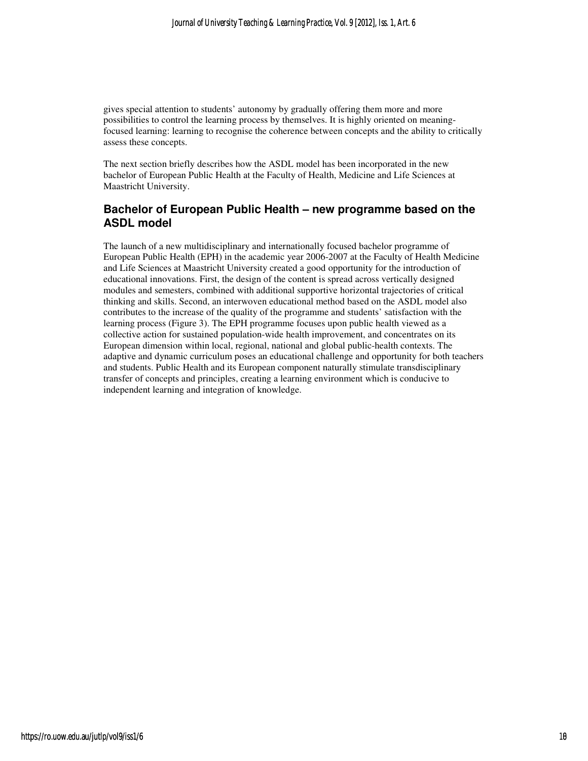gives special attention to students' autonomy by gradually offering them more and more possibilities to control the learning process by themselves. It is highly oriented on meaningfocused learning: learning to recognise the coherence between concepts and the ability to critically assess these concepts.

The next section briefly describes how the ASDL model has been incorporated in the new bachelor of European Public Health at the Faculty of Health, Medicine and Life Sciences at Maastricht University.

### **Bachelor of European Public Health – new programme based on the ASDL model**

The launch of a new multidisciplinary and internationally focused bachelor programme of European Public Health (EPH) in the academic year 2006-2007 at the Faculty of Health Medicine and Life Sciences at Maastricht University created a good opportunity for the introduction of educational innovations. First, the design of the content is spread across vertically designed modules and semesters, combined with additional supportive horizontal trajectories of critical thinking and skills. Second, an interwoven educational method based on the ASDL model also contributes to the increase of the quality of the programme and students' satisfaction with the learning process (Figure 3). The EPH programme focuses upon public health viewed as a collective action for sustained population-wide health improvement, and concentrates on its European dimension within local, regional, national and global public-health contexts. The adaptive and dynamic curriculum poses an educational challenge and opportunity for both teachers and students. Public Health and its European component naturally stimulate transdisciplinary transfer of concepts and principles, creating a learning environment which is conducive to independent learning and integration of knowledge.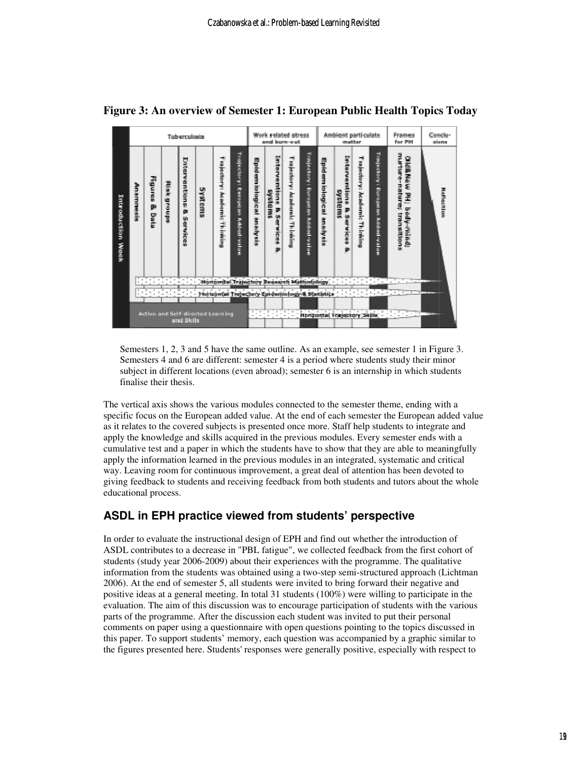

**Figure 3: An overview o of Semester 1: European Public Health Topics Today f European Public Today**

Semesters  $1, 2, 3$  and 5 have the same outline. As an example, see semester 1 in Figure 3. Semesters 4 and 6 are different: semester 4 is a period where students study their minor subject in different locations (even abroad); semester 6 is an internship in which students finalise their thesis. subject in different locations (even abroad); semester 6 is an internship in which students<br>finalise their thesis.<br>The vertical axis shows the various modules connected to the semester theme, ending with a

specific focus on the European added value. At the end of each semester the European added value as it relates to the covered subjects is presented once more. Staff help students to integrate and apply the knowledge and skills acquired in the previous modules. Every semester ends with a cumulative test and a paper in which the students have to show that they are able to meaningfully specific focus on the European added value. At the end of each semester the European added v<br>as it relates to the covered subjects is presented once more. Staff help students to integrate and<br>apply the knowledge and skills way. Leaving room for continuous improvement, a great deal of attention has been devoted to giving feedback to students and receiving feedback from both students and tutors about the whole educational process. fferent: semester 4 is a period where students study their minor<br>ions (even abroad); semester 6 is an internship in which students<br>various modules connected to the semester theme, ending with a<br>an added value. At the end o I also in an integrated, systematic and critical<br>
a great deal of attention has been devoted to<br>
k from both students and tutors about the whol<br> **Students' perspective**<br>
H and find out whether the introduction of<br>
we colle

### **ASDL in EPH practice viewed from students' perspective**

In order to evaluate the instructional design of EPH and find out whether the introduction of ASDL contributes to a decrease in "PBL fatigue", we collected feedback from the first cohort of students (study year 2006-2009) 2009) about their experiences with the programme. The qualitative information from the students was obtained using a two-step semi-structured approach (Lichtman 2006). At the end of semester 5, all students were invited to bring forward their negative and positive ideas at a general meeting. In total 31 students (100%) were willing to participate in the positive ideas at a general meeting. In total 31 students (100%) were willing to participate in the evaluation. The aim of this discussion was to encourage participation of students with the various parts of the programme. After the discussion each student was invited to put their personal comments on paper using a questionnaire with open questions pointing to the topics discussed in this paper. To support students' memory, each question was accompanied by a graphic similar to the figures presented here. Students' responses were generally positive, especially with respect to ents and receiving feedback from both students and tutors about the w<br> **actice viewed from students' perspective**<br>
instructional design of EPH and find out whether the introduction of<br>
decrease in "PBL fatigue", we collect next wo-step semi-structured approach (Lichtman nvited to bring forward their negative and ents (100%) were willing to participate in the rage participation of students with the various tudent was invited to put their pers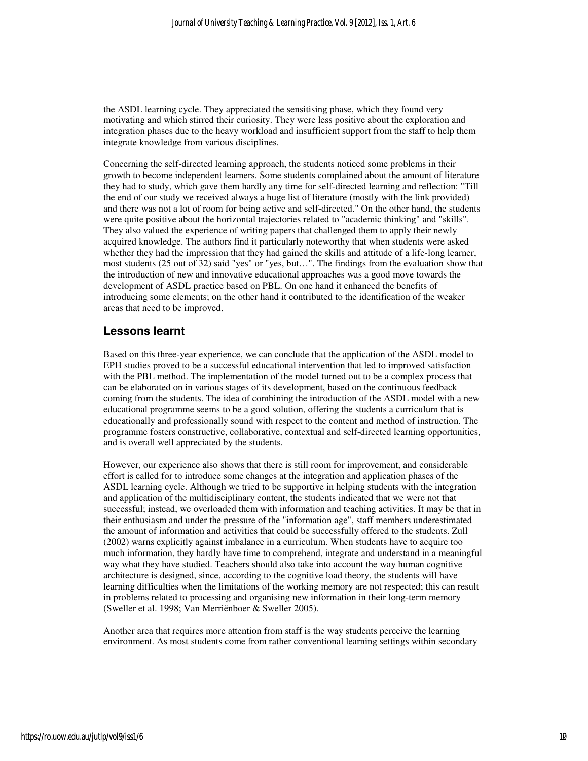the ASDL learning cycle. They appreciated the sensitising phase, which they found very motivating and which stirred their curiosity. They were less positive about the exploration and integration phases due to the heavy workload and insufficient support from the staff to help them integrate knowledge from various disciplines.

Concerning the self-directed learning approach, the students noticed some problems in their growth to become independent learners. Some students complained about the amount of literature they had to study, which gave them hardly any time for self-directed learning and reflection: "Till the end of our study we received always a huge list of literature (mostly with the link provided) and there was not a lot of room for being active and self-directed." On the other hand, the students were quite positive about the horizontal trajectories related to "academic thinking" and "skills". They also valued the experience of writing papers that challenged them to apply their newly acquired knowledge. The authors find it particularly noteworthy that when students were asked whether they had the impression that they had gained the skills and attitude of a life-long learner, most students (25 out of 32) said "yes" or "yes, but…". The findings from the evaluation show that the introduction of new and innovative educational approaches was a good move towards the development of ASDL practice based on PBL. On one hand it enhanced the benefits of introducing some elements; on the other hand it contributed to the identification of the weaker areas that need to be improved.

#### **Lessons learnt**

Based on this three-year experience, we can conclude that the application of the ASDL model to EPH studies proved to be a successful educational intervention that led to improved satisfaction with the PBL method. The implementation of the model turned out to be a complex process that can be elaborated on in various stages of its development, based on the continuous feedback coming from the students. The idea of combining the introduction of the ASDL model with a new educational programme seems to be a good solution, offering the students a curriculum that is educationally and professionally sound with respect to the content and method of instruction. The programme fosters constructive, collaborative, contextual and self-directed learning opportunities, and is overall well appreciated by the students.

However, our experience also shows that there is still room for improvement, and considerable effort is called for to introduce some changes at the integration and application phases of the ASDL learning cycle. Although we tried to be supportive in helping students with the integration and application of the multidisciplinary content, the students indicated that we were not that successful; instead, we overloaded them with information and teaching activities. It may be that in their enthusiasm and under the pressure of the "information age", staff members underestimated the amount of information and activities that could be successfully offered to the students. Zull (2002) warns explicitly against imbalance in a curriculum. When students have to acquire too much information, they hardly have time to comprehend, integrate and understand in a meaningful way what they have studied. Teachers should also take into account the way human cognitive architecture is designed, since, according to the cognitive load theory, the students will have learning difficulties when the limitations of the working memory are not respected; this can result in problems related to processing and organising new information in their long-term memory (Sweller et al. 1998; Van Merriënboer & Sweller 2005).

Another area that requires more attention from staff is the way students perceive the learning environment. As most students come from rather conventional learning settings within secondary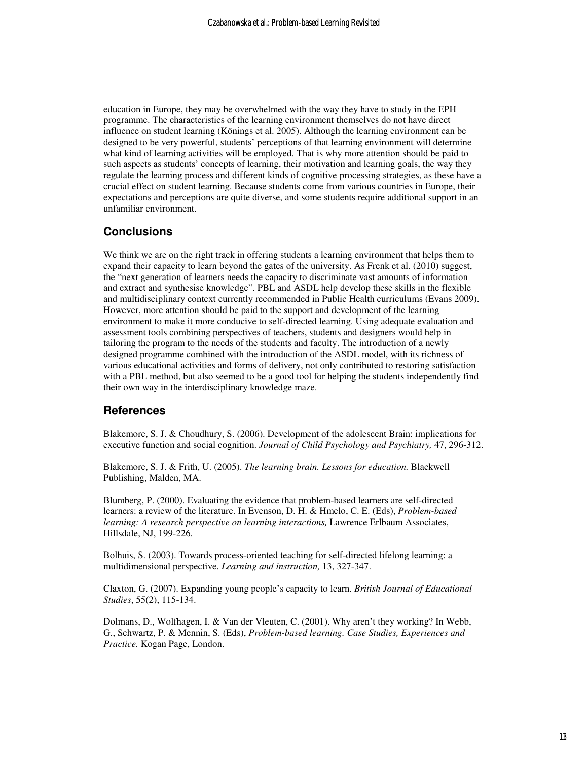education in Europe, they may be overwhelmed with the way they have to study in the EPH programme. The characteristics of the learning environment themselves do not have direct influence on student learning (Könings et al. 2005). Although the learning environment can be designed to be very powerful, students' perceptions of that learning environment will determine what kind of learning activities will be employed. That is why more attention should be paid to such aspects as students' concepts of learning, their motivation and learning goals, the way they regulate the learning process and different kinds of cognitive processing strategies, as these have a crucial effect on student learning. Because students come from various countries in Europe, their expectations and perceptions are quite diverse, and some students require additional support in an unfamiliar environment.

### **Conclusions**

We think we are on the right track in offering students a learning environment that helps them to expand their capacity to learn beyond the gates of the university. As Frenk et al. (2010) suggest, the "next generation of learners needs the capacity to discriminate vast amounts of information and extract and synthesise knowledge". PBL and ASDL help develop these skills in the flexible and multidisciplinary context currently recommended in Public Health curriculums (Evans 2009). However, more attention should be paid to the support and development of the learning environment to make it more conducive to self-directed learning. Using adequate evaluation and assessment tools combining perspectives of teachers, students and designers would help in tailoring the program to the needs of the students and faculty. The introduction of a newly designed programme combined with the introduction of the ASDL model, with its richness of various educational activities and forms of delivery, not only contributed to restoring satisfaction with a PBL method, but also seemed to be a good tool for helping the students independently find their own way in the interdisciplinary knowledge maze.

#### **References**

Blakemore, S. J. & Choudhury, S. (2006). Development of the adolescent Brain: implications for executive function and social cognition. *Journal of Child Psychology and Psychiatry,* 47, 296-312.

Blakemore, S. J. & Frith, U. (2005). *The learning brain. Lessons for education.* Blackwell Publishing, Malden, MA.

Blumberg, P. (2000). Evaluating the evidence that problem-based learners are self-directed learners: a review of the literature. In Evenson, D. H. & Hmelo, C. E. (Eds), *Problem-based learning: A research perspective on learning interactions,* Lawrence Erlbaum Associates, Hillsdale, NJ, 199-226.

Bolhuis, S. (2003). Towards process-oriented teaching for self-directed lifelong learning: a multidimensional perspective. *Learning and instruction,* 13, 327-347.

Claxton, G. (2007). Expanding young people's capacity to learn. *British Journal of Educational Studies*, 55(2), 115-134.

Dolmans, D., Wolfhagen, I. & Van der Vleuten, C. (2001). Why aren't they working? In Webb, G., Schwartz, P. & Mennin, S. (Eds), *Problem-based learning. Case Studies, Experiences and Practice.* Kogan Page, London.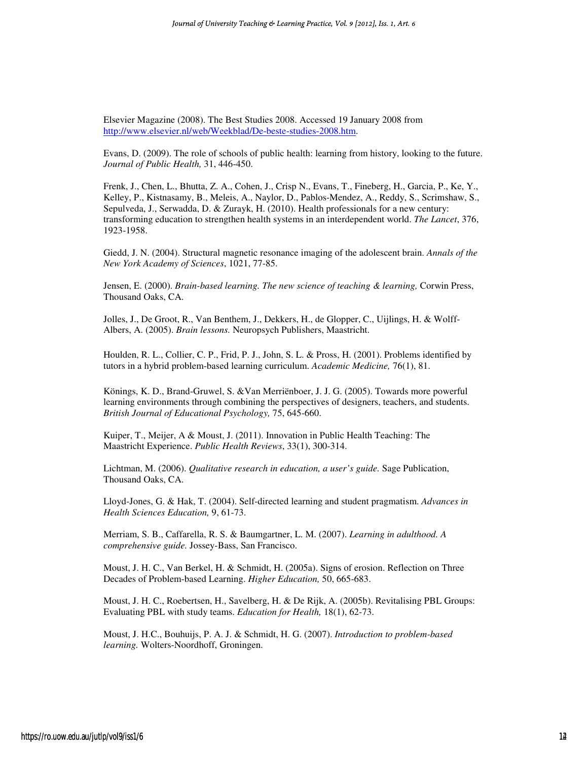Elsevier Magazine (2008). The Best Studies 2008. Accessed 19 January 2008 from http://www.elsevier.nl/web/Weekblad/De-beste-studies-2008.htm.

Evans, D. (2009). The role of schools of public health: learning from history, looking to the future. *Journal of Public Health,* 31, 446-450.

Frenk, J., Chen, L., Bhutta, Z. A., Cohen, J., Crisp N., Evans, T., Fineberg, H., Garcia, P., Ke, Y., Kelley, P., Kistnasamy, B., Meleis, A., Naylor, D., Pablos-Mendez, A., Reddy, S., Scrimshaw, S., Sepulveda, J., Serwadda, D. & Zurayk, H. (2010). Health professionals for a new century: transforming education to strengthen health systems in an interdependent world. *The Lancet*, 376, 1923-1958.

Giedd, J. N. (2004). Structural magnetic resonance imaging of the adolescent brain. *Annals of the New York Academy of Sciences*, 1021, 77-85.

Jensen, E. (2000). *Brain-based learning. The new science of teaching & learning,* Corwin Press, Thousand Oaks, CA.

Jolles, J., De Groot, R., Van Benthem, J., Dekkers, H., de Glopper, C., Uijlings, H. & Wolff-Albers, A. (2005). *Brain lessons.* Neuropsych Publishers, Maastricht.

Houlden, R. L., Collier, C. P., Frid, P. J., John, S. L. & Pross, H. (2001). Problems identified by tutors in a hybrid problem-based learning curriculum. *Academic Medicine,* 76(1), 81.

Könings, K. D., Brand-Gruwel, S. &Van Merriënboer, J. J. G. (2005). Towards more powerful learning environments through combining the perspectives of designers, teachers, and students. *British Journal of Educational Psychology,* 75, 645-660.

Kuiper, T., Meijer, A & Moust, J. (2011). Innovation in Public Health Teaching: The Maastricht Experience. *Public Health Reviews*, 33(1), 300-314.

Lichtman, M. (2006). *Qualitative research in education, a user's guide.* Sage Publication, Thousand Oaks, CA.

Lloyd-Jones, G. & Hak, T. (2004). Self-directed learning and student pragmatism. *Advances in Health Sciences Education,* 9, 61-73.

Merriam, S. B., Caffarella, R. S. & Baumgartner, L. M. (2007). *Learning in adulthood. A comprehensive guide.* Jossey-Bass, San Francisco.

Moust, J. H. C., Van Berkel, H. & Schmidt, H. (2005a). Signs of erosion. Reflection on Three Decades of Problem-based Learning. *Higher Education,* 50, 665-683.

Moust, J. H. C., Roebertsen, H., Savelberg, H. & De Rijk, A. (2005b). Revitalising PBL Groups: Evaluating PBL with study teams. *Education for Health,* 18(1), 62-73.

Moust, J. H.C., Bouhuijs, P. A. J. & Schmidt, H. G. (2007). *Introduction to problem-based learning.* Wolters-Noordhoff, Groningen.